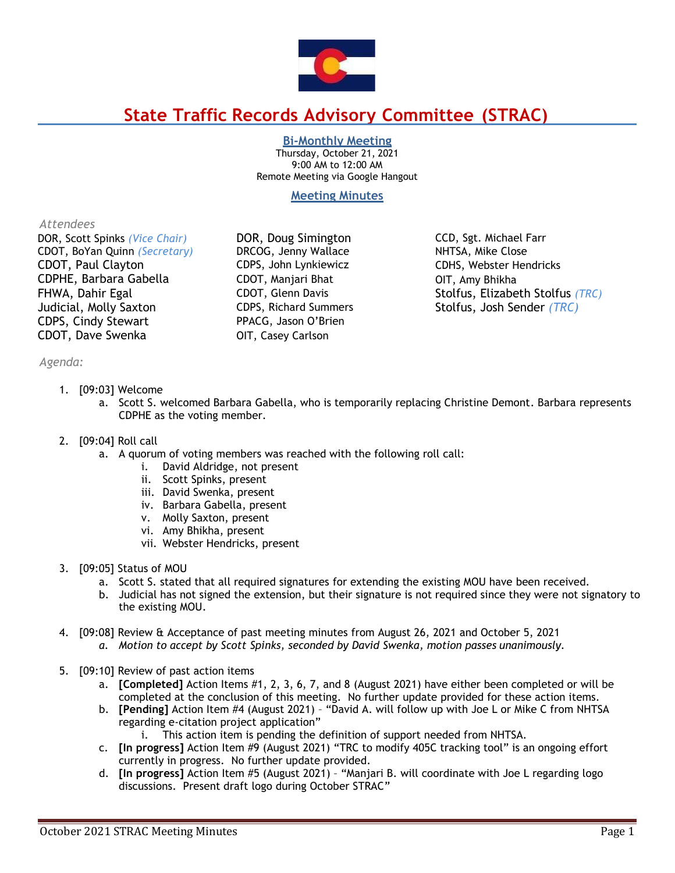

# **State Traffic Records Advisory Committee (STRAC)**

**Bi-Monthly Meeting**

Thursday, October 21, 2021 9:00 AM to 12:00 AM Remote Meeting via Google Hangout

# **Meeting Minutes**

## *Attendees*

DOR, Scott Spinks *(Vice Chair)* DOR, Doug Simington CCD, Sgt. Michael Farr CDOT, BoYan Quinn *(Secretary)* DRCOG, Jenny Wallace NHTSA, Mike Close CDOT, Paul Clayton CDPS, John Lynkiewicz CDHS, Webster Hendricks CDPHE, Barbara Gabella CDOT, Manjari Bhat OIT, Amy Bhikha FHWA, Dahir Egal **CDOT, Glenn Davis** Stolfus, Elizabeth Stolfus *(TRC)* Judicial, Molly Saxton CDPS, Richard Summers Stolfus, Josh Sender *(TRC)* CDPS, Cindy Stewart PPACG, Jason O'Brien CDOT, Dave Swenka OIT, Casey Carlson

*Agenda:*

- 1. [09:03] Welcome
	- a. Scott S. welcomed Barbara Gabella, who is temporarily replacing Christine Demont. Barbara represents CDPHE as the voting member.
- 2. [09:04] Roll call
	- a. A quorum of voting members was reached with the following roll call:
		- i. David Aldridge, not present
		- ii. Scott Spinks, present
		- iii. David Swenka, present
		- iv. Barbara Gabella, present
		- v. Molly Saxton, present
		- vi. Amy Bhikha, present
		- vii. Webster Hendricks, present
- 3. [09:05] Status of MOU
	- a. Scott S. stated that all required signatures for extending the existing MOU have been received.
	- b. Judicial has not signed the extension, but their signature is not required since they were not signatory to the existing MOU.
- 4. [09:08] Review & Acceptance of past meeting minutes from August 26, 2021 and October 5, 2021
	- *a. Motion to accept by Scott Spinks, seconded by David Swenka, motion passes unanimously.*
- 5. [09:10] Review of past action items
	- a. **[Completed]** Action Items #1, 2, 3, 6, 7, and 8 (August 2021) have either been completed or will be completed at the conclusion of this meeting. No further update provided for these action items.
	- b. **[Pending]** Action Item #4 (August 2021) "David A. will follow up with Joe L or Mike C from NHTSA regarding e-citation project application"
		- i. This action item is pending the definition of support needed from NHTSA.
	- c. **[In progress]** Action Item #9 (August 2021) "TRC to modify 405C tracking tool" is an ongoing effort currently in progress. No further update provided.
	- d. **[In progress]** Action Item #5 (August 2021) "Manjari B. will coordinate with Joe L regarding logo discussions. Present draft logo during October STRAC"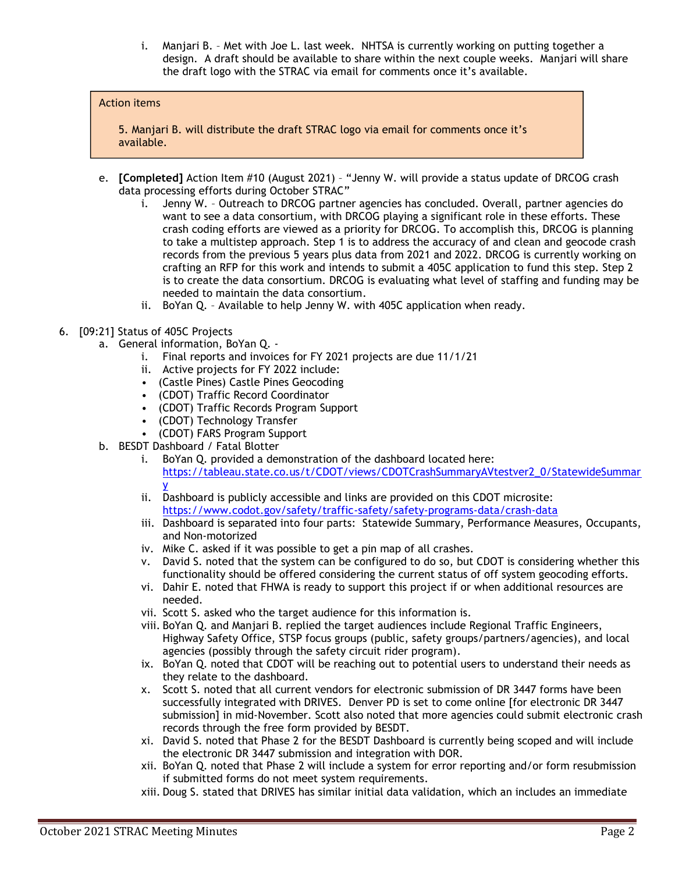i. Manjari B. – Met with Joe L. last week. NHTSA is currently working on putting together a design. A draft should be available to share within the next couple weeks. Manjari will share the draft logo with the STRAC via email for comments once it's available.

## Action items

5. Manjari B. will distribute the draft STRAC logo via email for comments once it's available.

- e. **[Completed]** Action Item #10 (August 2021) "Jenny W. will provide a status update of DRCOG crash data processing efforts during October STRAC"
	- i. Jenny W. Outreach to DRCOG partner agencies has concluded. Overall, partner agencies do want to see a data consortium, with DRCOG playing a significant role in these efforts. These crash coding efforts are viewed as a priority for DRCOG. To accomplish this, DRCOG is planning to take a multistep approach. Step 1 is to address the accuracy of and clean and geocode crash records from the previous 5 years plus data from 2021 and 2022. DRCOG is currently working on crafting an RFP for this work and intends to submit a 405C application to fund this step. Step 2 is to create the data consortium. DRCOG is evaluating what level of staffing and funding may be needed to maintain the data consortium.
	- ii. BoYan Q. Available to help Jenny W. with 405C application when ready.
- 6. [09:21] Status of 405C Projects
	- a. General information, BoYan Q.
		- i. Final reports and invoices for FY 2021 projects are due 11/1/21
		- ii. Active projects for FY 2022 include:
		- (Castle Pines) Castle Pines Geocoding
		- (CDOT) Traffic Record Coordinator
		- (CDOT) Traffic Records Program Support
		- (CDOT) Technology Transfer
		- (CDOT) FARS Program Support
	- b. BESDT Dashboard / Fatal Blotter
		- i. BoYan Q. provided a demonstration of the dashboard located here: [https://tableau.state.co.us/t/CDOT/views/CDOTCrashSummaryAVtestver2\\_0/StatewideSummar](https://tableau.state.co.us/t/CDOT/views/CDOTCrashSummaryAVtestver2_0/StatewideSummary) [y](https://tableau.state.co.us/t/CDOT/views/CDOTCrashSummaryAVtestver2_0/StatewideSummary)
		- ii. Dashboard is publicly accessible and links are provided on this CDOT microsite: <https://www.codot.gov/safety/traffic-safety/safety-programs-data/crash-data>
		- iii. Dashboard is separated into four parts: Statewide Summary, Performance Measures, Occupants, and Non-motorized
		- iv. Mike C. asked if it was possible to get a pin map of all crashes.
		- v. David S. noted that the system can be configured to do so, but CDOT is considering whether this functionality should be offered considering the current status of off system geocoding efforts.
		- vi. Dahir E. noted that FHWA is ready to support this project if or when additional resources are needed.
		- vii. Scott S. asked who the target audience for this information is.
		- viii. BoYan Q. and Manjari B. replied the target audiences include Regional Traffic Engineers, Highway Safety Office, STSP focus groups (public, safety groups/partners/agencies), and local agencies (possibly through the safety circuit rider program).
		- ix. BoYan Q. noted that CDOT will be reaching out to potential users to understand their needs as they relate to the dashboard.
		- x. Scott S. noted that all current vendors for electronic submission of DR 3447 forms have been successfully integrated with DRIVES. Denver PD is set to come online [for electronic DR 3447 submission] in mid-November. Scott also noted that more agencies could submit electronic crash records through the free form provided by BESDT.
		- xi. David S. noted that Phase 2 for the BESDT Dashboard is currently being scoped and will include the electronic DR 3447 submission and integration with DOR.
		- xii. BoYan Q. noted that Phase 2 will include a system for error reporting and/or form resubmission if submitted forms do not meet system requirements.
		- xiii. Doug S. stated that DRIVES has similar initial data validation, which an includes an immediate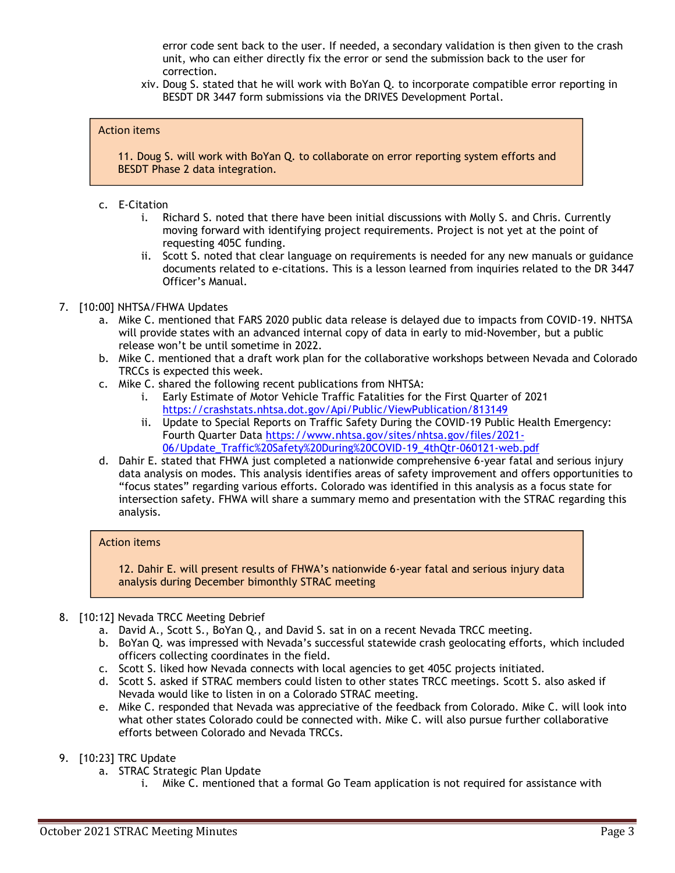error code sent back to the user. If needed, a secondary validation is then given to the crash unit, who can either directly fix the error or send the submission back to the user for correction.

xiv. Doug S. stated that he will work with BoYan Q. to incorporate compatible error reporting in BESDT DR 3447 form submissions via the DRIVES Development Portal.

## Action items

11. Doug S. will work with BoYan Q. to collaborate on error reporting system efforts and BESDT Phase 2 data integration.

- c. E-Citation
	- i. Richard S. noted that there have been initial discussions with Molly S. and Chris. Currently moving forward with identifying project requirements. Project is not yet at the point of requesting 405C funding.
	- ii. Scott S. noted that clear language on requirements is needed for any new manuals or guidance documents related to e-citations. This is a lesson learned from inquiries related to the DR 3447 Officer's Manual.

## 7. [10:00] NHTSA/FHWA Updates

- a. Mike C. mentioned that FARS 2020 public data release is delayed due to impacts from COVID-19. NHTSA will provide states with an advanced internal copy of data in early to mid-November, but a public release won't be until sometime in 2022.
- b. Mike C. mentioned that a draft work plan for the collaborative workshops between Nevada and Colorado TRCCs is expected this week.
- c. Mike C. shared the following recent publications from NHTSA:
	- i. Early Estimate of Motor Vehicle Traffic Fatalities for the First Quarter of 2021 <https://crashstats.nhtsa.dot.gov/Api/Public/ViewPublication/813149>
	- ii. Update to Special Reports on Traffic Safety During the COVID-19 Public Health Emergency: Fourth Quarter Data [https://www.nhtsa.gov/sites/nhtsa.gov/files/2021-](https://www.nhtsa.gov/sites/nhtsa.gov/files/2021-06/Update_Traffic%20Safety%20During%20COVID-19_4thQtr-060121-web.pdf) [06/Update\\_Traffic%20Safety%20During%20COVID-19\\_4thQtr-060121-web.pdf](https://www.nhtsa.gov/sites/nhtsa.gov/files/2021-06/Update_Traffic%20Safety%20During%20COVID-19_4thQtr-060121-web.pdf)
- d. Dahir E. stated that FHWA just completed a nationwide comprehensive 6-year fatal and serious injury data analysis on modes. This analysis identifies areas of safety improvement and offers opportunities to "focus states" regarding various efforts. Colorado was identified in this analysis as a focus state for intersection safety. FHWA will share a summary memo and presentation with the STRAC regarding this analysis.

#### Action items

12. Dahir E. will present results of FHWA's nationwide 6-year fatal and serious injury data analysis during December bimonthly STRAC meeting

- 8. [10:12] Nevada TRCC Meeting Debrief
	- a. David A., Scott S., BoYan Q., and David S. sat in on a recent Nevada TRCC meeting.
	- b. BoYan Q. was impressed with Nevada's successful statewide crash geolocating efforts, which included officers collecting coordinates in the field.
	- c. Scott S. liked how Nevada connects with local agencies to get 405C projects initiated.
	- d. Scott S. asked if STRAC members could listen to other states TRCC meetings. Scott S. also asked if Nevada would like to listen in on a Colorado STRAC meeting.
	- e. Mike C. responded that Nevada was appreciative of the feedback from Colorado. Mike C. will look into what other states Colorado could be connected with. Mike C. will also pursue further collaborative efforts between Colorado and Nevada TRCCs.
- 9. [10:23] TRC Update
	- a. STRAC Strategic Plan Update
		- i. Mike C. mentioned that a formal Go Team application is not required for assistance with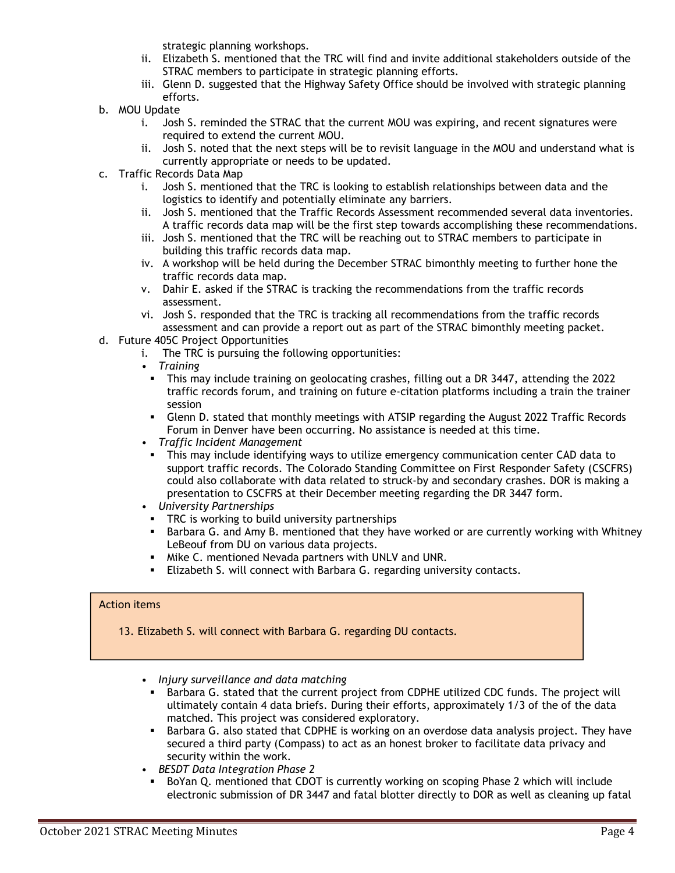strategic planning workshops.

- ii. Elizabeth S. mentioned that the TRC will find and invite additional stakeholders outside of the STRAC members to participate in strategic planning efforts.
- iii. Glenn D. suggested that the Highway Safety Office should be involved with strategic planning efforts.
- b. MOU Update
	- i. Josh S. reminded the STRAC that the current MOU was expiring, and recent signatures were required to extend the current MOU.
	- ii. Josh S. noted that the next steps will be to revisit language in the MOU and understand what is currently appropriate or needs to be updated.
- c. Traffic Records Data Map
	- i. Josh S. mentioned that the TRC is looking to establish relationships between data and the logistics to identify and potentially eliminate any barriers.
	- ii. Josh S. mentioned that the Traffic Records Assessment recommended several data inventories. A traffic records data map will be the first step towards accomplishing these recommendations.
	- iii. Josh S. mentioned that the TRC will be reaching out to STRAC members to participate in building this traffic records data map.
	- iv. A workshop will be held during the December STRAC bimonthly meeting to further hone the traffic records data map.
	- v. Dahir E. asked if the STRAC is tracking the recommendations from the traffic records assessment.
	- vi. Josh S. responded that the TRC is tracking all recommendations from the traffic records assessment and can provide a report out as part of the STRAC bimonthly meeting packet.
- d. Future 405C Project Opportunities
	- i. The TRC is pursuing the following opportunities:
	- *Training*
		- This may include training on geolocating crashes, filling out a DR 3447, attending the 2022 traffic records forum, and training on future e-citation platforms including a train the trainer session
		- **Glenn D. stated that monthly meetings with ATSIP regarding the August 2022 Traffic Records** Forum in Denver have been occurring. No assistance is needed at this time.
	- *Traffic Incident Management*
	- This may include identifying ways to utilize emergency communication center CAD data to support traffic records. The Colorado Standing Committee on First Responder Safety (CSCFRS) could also collaborate with data related to struck-by and secondary crashes. DOR is making a presentation to CSCFRS at their December meeting regarding the DR 3447 form.
	- *University Partnerships*
		- **•** TRC is working to build university partnerships
	- Barbara G. and Amy B. mentioned that they have worked or are currently working with Whitney LeBeouf from DU on various data projects.
	- Mike C. mentioned Nevada partners with UNLV and UNR.
	- Elizabeth S. will connect with Barbara G. regarding university contacts.

#### Action items

- 13. Elizabeth S. will connect with Barbara G. regarding DU contacts.
	- *Injury surveillance and data matching*
	- Barbara G. stated that the current project from CDPHE utilized CDC funds. The project will ultimately contain 4 data briefs. During their efforts, approximately 1/3 of the of the data matched. This project was considered exploratory.
	- Barbara G. also stated that CDPHE is working on an overdose data analysis project. They have secured a third party (Compass) to act as an honest broker to facilitate data privacy and security within the work.
	- *BESDT Data Integration Phase 2*
		- BoYan Q. mentioned that CDOT is currently working on scoping Phase 2 which will include electronic submission of DR 3447 and fatal blotter directly to DOR as well as cleaning up fatal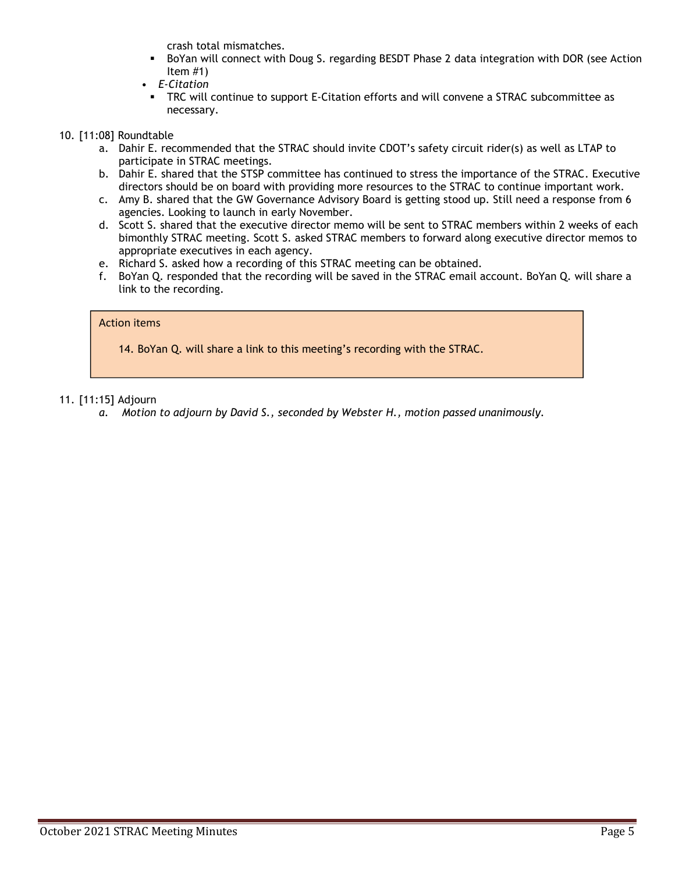crash total mismatches.

- BoYan will connect with Doug S. regarding BESDT Phase 2 data integration with DOR (see Action Item #1)
- *E-Citation*
- **•** TRC will continue to support E-Citation efforts and will convene a STRAC subcommittee as necessary.

# 10. [11:08] Roundtable

- a. Dahir E. recommended that the STRAC should invite CDOT's safety circuit rider(s) as well as LTAP to participate in STRAC meetings.
- b. Dahir E. shared that the STSP committee has continued to stress the importance of the STRAC. Executive directors should be on board with providing more resources to the STRAC to continue important work.
- c. Amy B. shared that the GW Governance Advisory Board is getting stood up. Still need a response from 6 agencies. Looking to launch in early November.
- d. Scott S. shared that the executive director memo will be sent to STRAC members within 2 weeks of each bimonthly STRAC meeting. Scott S. asked STRAC members to forward along executive director memos to appropriate executives in each agency.
- e. Richard S. asked how a recording of this STRAC meeting can be obtained.
- f. BoYan Q. responded that the recording will be saved in the STRAC email account. BoYan Q. will share a link to the recording.

## Action items

14. BoYan Q. will share a link to this meeting's recording with the STRAC.

## 11. [11:15] Adjourn

*a. Motion to adjourn by David S., seconded by Webster H., motion passed unanimously.*